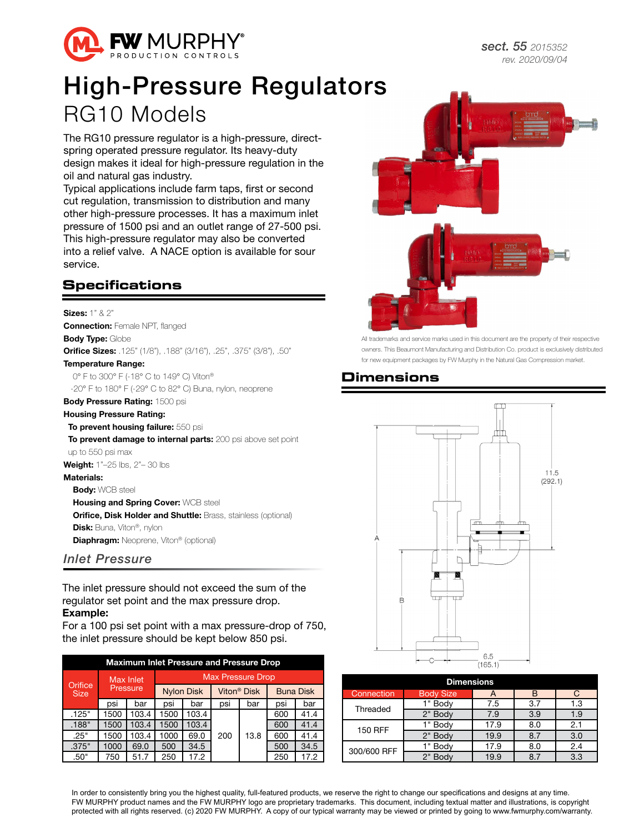

# High-Pressure Regulators RG10 Models

The RG10 pressure regulator is a high-pressure, directspring operated pressure regulator. Its heavy-duty design makes it ideal for high-pressure regulation in the oil and natural gas industry.

Typical applications include farm taps, first or second cut regulation, transmission to distribution and many other high-pressure processes. It has a maximum inlet pressure of 1500 psi and an outlet range of 27-500 psi. This high-pressure regulator may also be converted into a relief valve. A NACE option is available for sour service.

#### **Specifications**

Sizes: 1" & 2" **Connection:** Female NPT, flanged **Body Type: Globe** Orifice Sizes: .125" (1/8"), .188" (3/16"), .25", .375" (3/8"), .50" Temperature Range: 0° F to 300° F (-18° C to 149° C) Viton®

-20° F to 180° F (-29° C to 82° C) Buna, nylon, neoprene

### Body Pressure Rating: 1500 psi

Housing Pressure Rating: To prevent housing failure: 550 psi To prevent damage to internal parts: 200 psi above set point up to 550 psi max Weight: 1"-25 lbs, 2"-30 lbs Materials: **Body: WCB steel** Housing and Spring Cover: WCB steel Orifice, Disk Holder and Shuttle: Brass, stainless (optional)

Disk: Buna, Viton®, nylon

**Diaphragm:** Neoprene, Viton® (optional)

#### *Inlet Pressure*

The inlet pressure should not exceed the sum of the regulator set point and the max pressure drop. Example:

For a 100 psi set point with a max pressure-drop of 750, the inlet pressure should be kept below 850 psi.

| <b>Maximum Inlet Pressure and Pressure Drop</b> |      |           |                          |                   |     |                         |                  |      |  |  |  |  |
|-------------------------------------------------|------|-----------|--------------------------|-------------------|-----|-------------------------|------------------|------|--|--|--|--|
| Orifice<br><b>Size</b>                          |      | Max Inlet | <b>Max Pressure Drop</b> |                   |     |                         |                  |      |  |  |  |  |
|                                                 |      | Pressure  |                          | <b>Nylon Disk</b> |     | Viton <sup>®</sup> Disk | <b>Buna Disk</b> |      |  |  |  |  |
|                                                 | psi  | bar       | psi                      | bar               | psi | bar                     | psi              | bar  |  |  |  |  |
| .125"                                           | 1500 | 103.4     | 1500                     | 103.4             |     |                         | 600              | 41.4 |  |  |  |  |
| .188"                                           | 1500 | 103.4     | 1500                     | 103.4             |     |                         | 600              | 41.4 |  |  |  |  |
| .25"                                            | 1500 | 103.4     | 1000                     | 69.0              | 200 | 13.8                    | 600              | 41.4 |  |  |  |  |
| .375"                                           | 1000 | 69.0      | 500                      | 34.5              |     |                         | 500              | 34.5 |  |  |  |  |
| .50"                                            | 750  | 51.7      | 250                      | 17.2              |     |                         | 250              | 17.2 |  |  |  |  |



All trademarks and service marks used in this document are the property of their respective owners. This Beaumont Manufacturing and Distribution Co. product is exclusively distributed for new equipment packages by FW Murphy in the Natural Gas Compression market.

#### **Dimensions**



| <b>Dimensions</b> |                  |      |     |     |  |  |  |  |  |  |  |
|-------------------|------------------|------|-----|-----|--|--|--|--|--|--|--|
| Connection        | <b>Body Size</b> | A    | B   | C   |  |  |  |  |  |  |  |
| Threaded          | 1" Body          | 7.5  | 3.7 | 1.3 |  |  |  |  |  |  |  |
|                   | 2" Body          | 7.9  | 3.9 | 1.9 |  |  |  |  |  |  |  |
| 150 RFF           | 1" Body          | 17.9 | 8.0 | 2.1 |  |  |  |  |  |  |  |
|                   | 2" Body          | 19.9 | 8.7 | 3.0 |  |  |  |  |  |  |  |
| 300/600 RFF       | " Body           | 17.9 | 8.0 | 2.4 |  |  |  |  |  |  |  |
|                   | 2" Body          | 19.9 | 8.7 | 3.3 |  |  |  |  |  |  |  |

In order to consistently bring you the highest quality, full-featured products, we reserve the right to change our specifications and designs at any time. FW MURPHY product names and the FW MURPHY logo are proprietary trademarks. This document, including textual matter and illustrations, is copyright protected with all rights reserved. (c) 2020 FW MURPHY. A copy of our typical warranty may be viewed or printed by going to www.fwmurphy.com/warranty.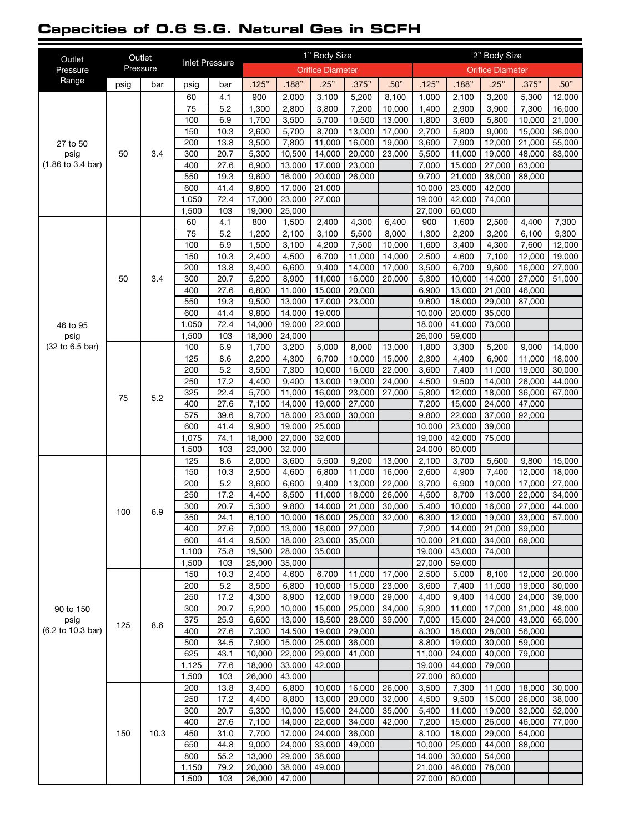#### **Capacities of 0.6 S.G. Natural Gas in SCFH**

| Outlet                                                   | Outlet |          | <b>Inlet Pressure</b> |              |                 |                  | 1" Body Size             |                  | 2" Body Size     |                  |                  |                          |                  |                               |
|----------------------------------------------------------|--------|----------|-----------------------|--------------|-----------------|------------------|--------------------------|------------------|------------------|------------------|------------------|--------------------------|------------------|-------------------------------|
| Pressure                                                 |        | Pressure |                       |              |                 |                  | <b>Orifice Diameter</b>  |                  |                  |                  |                  | <b>Orifice Diameter</b>  |                  |                               |
| Range                                                    | psig   | bar      | psig                  | bar          | .125"           | .188"            | .25"                     | .375"            | .50"             | .125"            | .188"            | .25"                     | .375"            | .50"                          |
|                                                          |        |          | 60                    | 4.1          | 900             | 2,000            | 3,100                    | 5,200            | 8.100            | 1,000            | 2,100            | 3,200                    | 5,300            | 12,000                        |
| 27 to 50<br>psig<br>$(1.86 \text{ to } 3.4 \text{ bar})$ |        |          | 75                    | 5.2          | 1,300           | 2,800            | 3,800                    | 7,200            | 10,000           | 1,400            | 2,900            | 3,900                    | 7,300            | 16,000                        |
|                                                          |        |          | 100                   | 6.9          | 1,700           | 3,500            | 5,700                    | 10,500           | 13,000           | 1,800            | 3,600            | 5,800                    | 10,000           | 21,000                        |
|                                                          |        |          | 150                   | 10.3         | 2,600           | 5,700            | 8,700                    | 13,000           | 17,000           | 2,700            | 5,800            | 9,000                    | 15,000           | 36,000                        |
|                                                          | 50     | 3.4      | 200<br>300            | 13.8<br>20.7 | 3,500<br>5,300  | 7,800<br>10,500  | 11,000<br>14,000         | 16,000<br>20,000 | 19,000<br>23,000 | 3,600<br>5,500   | 7,900<br>11,000  | 12,000<br>19,000         | 21,000<br>48,000 | 55,000<br>83,000              |
|                                                          |        |          | 400                   | 27.6         | 6,900           | 13,000           | 17,000                   | 23,000           |                  | 7,000            | 15,000           | 27,000                   | 63,000           |                               |
|                                                          |        |          | 550                   | 19.3         | 9,600           | 16,000           | 20,000                   | 26,000           |                  | 9,700            | 21,000           | 38,000                   | 88,000           |                               |
|                                                          |        |          | 600                   | 41.4         | 9,800           | 17,000           | 21,000                   |                  |                  | 10,000           | 23,000           | 42,000                   |                  |                               |
|                                                          |        |          | 1,050                 | 72.4         | 17,000          | 23,000           | 27,000                   |                  |                  | 19,000           | 42,000           | 74,000                   |                  |                               |
|                                                          |        |          | 1,500                 | 103          | 19,000          | 25,000           |                          |                  |                  | 27,000           | 60,000           |                          |                  |                               |
|                                                          |        |          | 60                    | 4.1          | 800             | 1,500            | 2,400                    | 4,300            | 6,400            | 900              | 1,600            | 2,500                    | 4,400            | 7,300                         |
|                                                          |        |          | 75                    | 5.2          | 1,200           | 2,100            | 3,100                    | 5,500            | 8,000            | 1,300            | 2,200            | 3,200                    | 6,100            | 9,300                         |
|                                                          |        |          | 100                   | 6.9          | 1,500           | 3,100            | 4,200                    | 7,500            | 10,000           | 1,600            | 3,400            | 4,300                    | 7,600            | 12,000                        |
|                                                          |        |          | 150<br>200            | 10.3<br>13.8 | 2,400           | 4,500            | 6,700<br>9,400           | 11,000<br>14.000 | 14,000<br>17,000 | 2,500<br>3,500   | 4,600<br>6,700   | 7,100<br>9,600           | 12,000           | 19,000                        |
|                                                          | 50     | 3.4      | 300                   | 20.7         | 3,400<br>5,200  | 6,600<br>8,900   | 11,000                   | 16,000           | 20,000           | 5,300            | 10,000           | 14,000                   | 16,000<br>27,000 | 27,000<br>$\overline{51,000}$ |
|                                                          |        |          | 400                   | 27.6         | 6,800           | 11,000           | 15,000                   | 20,000           |                  | 6,900            | 13,000           | 21,000                   | 46,000           |                               |
|                                                          |        |          | 550                   | 19.3         | 9,500           | 13,000           | 17,000                   | 23,000           |                  | 9,600            | 18,000           | 29,000                   | 87,000           |                               |
|                                                          |        |          | 600                   | 41.4         | 9,800           | 14,000           | 19,000                   |                  |                  | 10,000           | 20,000           | 35,000                   |                  |                               |
| 46 to 95                                                 |        |          | 1,050                 | 72.4         | 14,000          | 19,000           | 22,000                   |                  |                  | 18,000           | 41,000           | 73,000                   |                  |                               |
| psig                                                     |        |          | 1,500                 | 103          | 18,000          | 24,000           |                          |                  |                  | 26,000           | 59,000           |                          |                  |                               |
| (32 to 6.5 bar)                                          |        | 5.2      | 100                   | 6.9          | 1,700           | 3,200            | 5,000                    | 8,000            | 13,000           | 1,800            | 3,300            | 5,200                    | 9,000            | 14,000                        |
|                                                          |        |          | 125                   | 8.6          | 2,200           | 4,300            | 6,700                    | 10,000           | 15,000           | 2,300            | 4,400            | 6,900                    | 11,000           | 18,000                        |
|                                                          |        |          | 200                   | 5.2          | 3,500           | 7,300            | 10,000                   | 16,000           | 22,000           | 3,600            | 7,400            | 11,000                   | 19,000           | 30,000                        |
|                                                          |        |          | 250                   | 17.2         | 4,400           | 9,400            | 13,000                   | 19,000           | 24,000           | 4,500            | 9,500            | 14,000                   | 26,000           | 44,000                        |
|                                                          | 75     |          | 325                   | 22.4         | 5,700           | 11,000           | 16,000                   | 23,000           | 27,000           | 5,800            | 12,000           | 18,000                   | 36,000           | 67,000                        |
|                                                          |        |          | 400<br>575            | 27.6<br>39.6 | 7,100<br>9,700  | 14,000<br>18,000 | 19,000<br>23,000         | 27,000<br>30,000 |                  | 7,200<br>9,800   | 15,000<br>22,000 | 24,000<br>37,000         | 47,000<br>92,000 |                               |
|                                                          |        |          | 600                   | 41.4         | 9,900           | 19,000           | 25,000                   |                  |                  | 10,000           | 23,000           | 39,000                   |                  |                               |
|                                                          |        |          | 1,075                 | 74.1         | 18,000          | 27,000           | 32,000                   |                  |                  | 19,000           | 42,000           | 75,000                   |                  |                               |
|                                                          |        |          | 1,500                 | 103          | 23,000          | 32,000           |                          |                  |                  | 24,000           | 60,000           |                          |                  |                               |
|                                                          |        |          | 125                   | 8.6          | 2,000           | 3,600            | 5,500                    | 9,200            | 13,000           | 2,100            | 3,700            | 5,600                    | 9,800            | 15,000                        |
|                                                          |        |          | 150                   | 10.3         | 2,500           | 4,600            | 6,800                    | 11,000           | 16,000           | 2,600            | 4,900            | 7,400                    | 12,000           | 18,000                        |
|                                                          | 100    |          | 200                   | 5.2          | 3,600           | 6,600            | 9,400                    | 13,000           | 22,000           | 3,700            | 6,900            | 10,000                   | 17,000           | 27,000                        |
|                                                          |        |          | 250                   | 17.2         | 4,400           | 8,500            | 11.000                   | 18.000           | 26,000           | 4,500            | 8,700            | 13,000                   | 22,000           | 34,000                        |
|                                                          |        | 6.9      | 300                   | 20.7         | 5,300           | 9,800            | 14,000                   | 21,000           | 30,000           | 5,400            | 10,000           | 16,000                   | 27,000           | 44,000                        |
|                                                          |        |          | 350                   | 24.1         | 6,100           | 10,000           | 16,000   25,000   32,000 |                  |                  | 6,300            | 12,000           | 19,000   33,000   57,000 |                  |                               |
|                                                          |        |          | 400<br>600            | 27.6         | 7,000           | 13,000           | 18,000                   | 27,000           |                  | 7,200            | 14,000<br>21,000 | 21,000                   | 39,000           |                               |
|                                                          |        |          | 1,100                 | 41.4<br>75.8 | 9,500<br>19,500 | 18,000<br>28,000 | 23,000<br>35,000         | 35,000           |                  | 10,000<br>19,000 | 43,000           | 34,000<br>74.000         | 69,000           |                               |
|                                                          |        |          | 1,500                 | 103          | 25,000          | 35,000           |                          |                  |                  | 27,000           | 59,000           |                          |                  |                               |
|                                                          |        |          | 150                   | 10.3         | 2,400           | 4,600            | 6,700                    | 11,000           | 17,000           | 2,500            | 5,000            | 8,100                    | 12,000           | 20,000                        |
|                                                          |        |          | 200                   | 5.2          | 3,500           | 6,800            | 10,000                   | 15,000           | 23,000           | 3,600            | 7,400            | 11,000                   | 19,000           | 30,000                        |
|                                                          |        |          | 250                   | 17.2         | 4,300           | 8,900            | 12,000                   | 19,000           | 29,000           | 4,400            | 9,400            | 14,000                   | 24,000           | 39,000                        |
| 90 to 150                                                |        |          | 300                   | 20.7         | 5,200           | 10,000           | 15,000                   | 25,000           | 34,000           | 5,300            | 11,000           | 17,000                   | 31,000           | 48,000                        |
| psig                                                     | 125    | 8.6      | 375                   | 25.9         | 6,600           | 13,000           | 18,500                   | 28,000           | 39,000           | 7,000            | 15,000           | 24,000                   | 43,000           | 65,000                        |
| (6.2 to 10.3 bar)                                        |        |          | 400                   | 27.6         | 7,300           | 14,500           | 19,000                   | 29,000           |                  | 8,300            | 18,000           | 28,000                   | 56,000           |                               |
|                                                          |        |          | 500                   | 34.5         | 7,900           | 15,000           | 25,000                   | 36,000           |                  | 8,800            | 19,000           | 30,000                   | 59,000           |                               |
|                                                          |        |          | 625                   | 43.1         | 10,000          | 22,000           | 29,000                   | 41,000           |                  | 11,000           | 24,000           | 40,000                   | 79,000           |                               |
|                                                          |        |          | 1,125                 | 77.6         | 18,000          | 33,000           | 42,000                   |                  |                  | 19,000           | 44,000           | 79,000                   |                  |                               |
|                                                          |        |          | 1,500<br>200          | 103<br>13.8  | 26,000<br>3,400 | 43,000<br>6,800  | 10,000                   | 16,000           | 26,000           | 27,000<br>3,500  | 60,000<br>7,300  | 11,000                   | 18,000           | 30,000                        |
|                                                          |        |          | 250                   | 17.2         | 4,400           | 8,800            | 13,000                   | 20,000           | 32,000           | 4,500            | 9,500            | 15,000                   | 26,000           | 38,000                        |
|                                                          |        |          | 300                   | 20.7         | 5,300           | 10,000           | 15,000                   | 24,000           | 35,000           | 5,400            | 11,000           | 19,000                   | 32,000           | 52,000                        |
|                                                          |        |          | 400                   | 27.6         | 7,100           | 14,000           | 22,000                   | 34,000           | 42,000           | 7,200            | 15,000           | 26,000                   | 46,000           | 77,000                        |
|                                                          | 150    | 10.3     | 450                   | 31.0         | 7,700           | 17,000           | 24,000                   | 36,000           |                  | 8,100            | 18,000           | 29,000                   | 54,000           |                               |
|                                                          |        |          | 650                   | 44.8         | 9,000           | 24,000           | 33,000                   | 49,000           |                  | 10,000           | 25,000           | 44,000                   | 88,000           |                               |
|                                                          |        |          | 800                   | 55.2         | 13,000          | 29,000           | 38,000                   |                  |                  | 14,000           | 30,000           | 54,000                   |                  |                               |
|                                                          |        |          | 1,150                 | 79.2         | 20,000          | 38,000           | 49,000                   |                  |                  | 21,000           | 46,000           | 78,000                   |                  |                               |
|                                                          |        |          | 1,500                 | 103          | 26,000          | 47,000           |                          |                  |                  | 27,000           | 60,000           |                          |                  |                               |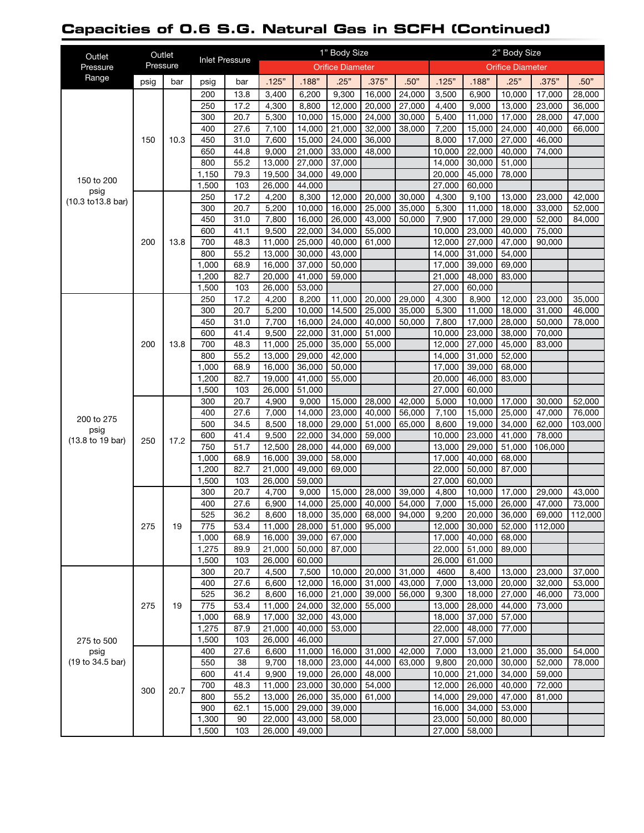# **Capacities of 0.6 S.G. Natural Gas in SCFH (Continued)**

| Outlet             | Outlet   |      |                       |              | 1" Body Size            |                  |                  |                     |                                           |                         | 2" Body Size     |                           |                  |                  |  |
|--------------------|----------|------|-----------------------|--------------|-------------------------|------------------|------------------|---------------------|-------------------------------------------|-------------------------|------------------|---------------------------|------------------|------------------|--|
| Pressure           | Pressure |      | <b>Inlet Pressure</b> |              | <b>Orifice Diameter</b> |                  |                  |                     |                                           | <b>Orifice Diameter</b> |                  |                           |                  |                  |  |
| Range              | psig     | bar  | psig                  | bar          | .125"                   | .188"            | .25"             | .375"               | .50"                                      | .125"                   | .188"            | .25"                      | .375"            | .50"             |  |
|                    |          |      | 200                   | 13.8         | 3,400                   | 6,200            | 9,300            | 16,000              | 24,000                                    | 3,500                   | 6,900            | 10,000                    | 17,000           | 28,000           |  |
|                    |          |      | 250                   | 17.2         | 4,300                   | 8,800            | 12,000           | 20,000              | 27,000                                    | 4,400                   | 9,000            | 13,000                    | 23,000           | 36,000           |  |
|                    |          |      | 300                   | 20.7         | 5,300                   | 10,000           | 15,000           | 24,000              | 30,000                                    | 5,400                   | 11,000           | 17,000                    | 28,000           | 47,000           |  |
|                    |          |      | 400                   | 27.6         | 7,100                   | 14,000           | 21,000           | 32,000              | 38,000                                    | 7,200                   | 15,000           | 24,000                    | 40,000           | 66,000           |  |
| 150 to 200<br>psig | 150      | 10.3 | 450                   | 31.0         | 7,600                   | 15,000           | 24,000           | 36,000              |                                           | 8,000                   | 17,000           | 27,000                    | 46,000           |                  |  |
|                    |          |      | 650                   | 44.8         | 9,000                   | 21,000           | 33,000           | 48,000              |                                           | 10,000                  | 22,000           | 40.000                    | 74,000           |                  |  |
|                    |          |      | 800                   | 55.2         | 13,000                  | 27,000           | 37,000           |                     |                                           | 14,000                  | 30,000           | 51.000                    |                  |                  |  |
|                    |          |      | 1,150<br>1,500        | 79.3<br>103  | 19,500<br>26,000        | 34,000<br>44,000 | 49,000           |                     |                                           | 20,000<br>27,000        | 45,000<br>60,000 | 78,000                    |                  |                  |  |
|                    |          |      | 250                   | 17.2         | 4,200                   | 8,300            | 12,000           | 20,000              | 30,000                                    | 4,300                   | 9,100            | 13,000                    | 23,000           | 42,000           |  |
| (10.3 to 13.8 bar) |          |      | 300                   | 20.7         | 5,200                   | 10,000           | 16,000           | 25,000              | 35,000                                    | 5,300                   | 11,000           | 18,000                    | 33,000           | 52,000           |  |
|                    |          |      | 450                   | 31.0         | 7,800                   | 16,000           | 26,000           | 43,000              | 50,000                                    | 7,900                   | 17,000           | 29,000                    | 52,000           | 84,000           |  |
|                    |          |      | 600                   | 41.1         | 9,500                   | 22,000           | 34,000           | 55,000              |                                           | 10,000                  | 23,000           | 40,000                    | 75,000           |                  |  |
|                    | 200      | 13.8 | 700                   | 48.3         | 11,000                  | 25,000           | 40,000           | 61,000              |                                           | 12,000                  | 27,000           | 47,000                    | 90,000           |                  |  |
|                    |          |      | 800                   | 55.2         | 13,000                  | 30.000           | 43,000           |                     |                                           | 14,000                  | 31,000           | 54,000                    |                  |                  |  |
|                    |          |      | 1,000                 | 68.9         | 16,000                  | 37,000           | 50,000           |                     |                                           | 17,000                  | 39,000           | 69,000                    |                  |                  |  |
|                    |          |      | 1,200                 | 82.7         | 20,000                  | 41,000           | 59,000           |                     |                                           | 21,000                  | 48,000           | 83,000                    |                  |                  |  |
|                    |          |      | 1,500                 | 103          | 26,000                  | 53,000           |                  |                     |                                           | 27,000                  | 60,000           |                           |                  |                  |  |
|                    |          |      | 250                   | 17.2         | 4,200                   | 8,200            | 11,000           | 20,000              | 29,000                                    | 4,300                   | 8,900            | 12,000                    | 23.000           | 35,000           |  |
|                    |          |      | 300                   | 20.7         | 5,200                   | 10,000           | 14,500           | 25,000              | 35,000                                    | 5,300                   | 11,000           | 18.000                    | 31,000           | 46,000           |  |
|                    | 200      |      | 450                   | 31.0         | 7,700                   | 16,000           | 24,000           | 40,000              | 50.000                                    | 7,800                   | 17,000           | 28,000                    | 50,000           | 78,000           |  |
|                    |          |      | 600                   | 41.4         | 9,500                   | 22,000           | 31,000           | $\overline{5}1,000$ |                                           | 10,000                  | 23,000           | 38,000                    | 70,000           |                  |  |
|                    |          | 13.8 | 700                   | 48.3         | 11,000                  | 25,000           | 35,000           | 55,000              |                                           | 12,000                  | 27,000           | 45,000                    | 83,000           |                  |  |
|                    |          |      | 800<br>1,000          | 55.2         | 13,000<br>16,000        | 29,000<br>36,000 | 42,000           |                     |                                           | 14,000                  | 31,000<br>39,000 | 52,000<br>68,000          |                  |                  |  |
|                    |          |      | 1,200                 | 68.9<br>82.7 | 19,000                  | 41,000           | 50,000           |                     |                                           | 17,000<br>20,000        | 46,000           | 83,000                    |                  |                  |  |
|                    |          |      | 1,500                 | 103          | 26,000                  | 51,000           | 55,000           |                     |                                           | 27,000                  | 60,000           |                           |                  |                  |  |
|                    |          |      | 300                   | 20.7         | 4,900                   | 9,000            | 15,000           | 28,000              | 42,000                                    | 5,000                   | 10,000           | 17,000                    | 30,000           | 52,000           |  |
|                    | 250      |      | 400                   | 27.6         | 7,000                   | 14,000           | 23,000           | 40,000              | 56,000                                    | 7,100                   | 15,000           | 25,000                    | 47,000           | 76,000           |  |
| 200 to 275         |          |      | 500                   | 34.5         | 8,500                   | 18,000           | 29,000           | 51,000              | 65,000                                    | 8,600                   | 19,000           | 34,000                    | 62,000           | 103,000          |  |
| psig               |          |      | 600                   | 41.4         | 9,500                   | 22,000           | 34,000           | 59,000              |                                           | 10,000                  | 23,000           | 41,000                    | 78,000           |                  |  |
| (13.8 to 19 bar)   |          | 17.2 | 750                   | 51.7         | 12,500                  | 28,000           | 44,000           | 69,000              |                                           | 13,000                  | 29,000           | 51,000                    | 106,000          |                  |  |
|                    |          |      | 1,000                 | 68.9         | 16,000                  | 39,000           | 58,000           |                     |                                           | 17,000                  | 40,000           | 68,000                    |                  |                  |  |
|                    |          |      | 1,200                 | 82.7         | 21,000                  | 49,000           | 69,000           |                     |                                           | 22,000                  | 50,000           | 87,000                    |                  |                  |  |
|                    |          |      | 1,500                 | 103          | 26,000                  | 59,000           |                  |                     |                                           | 27,000                  | 60,000           |                           |                  |                  |  |
|                    |          |      | 300                   | 20.7         | 4,700                   | 9,000            | 15,000           | 28,000              | 39,000                                    | 4,800                   | 10,000           | 17,000                    | 29,000           | 43,000           |  |
|                    |          |      | 400                   | 27.6         | 6,900                   | 14,000           | 25,000           | 40,000              | 54,000                                    | 7,000                   | 15,000           | 26,000                    | 47,000           | 73,000           |  |
|                    |          |      | 525                   | 36.2         |                         |                  |                  |                     | 8,600   18,000   35,000   68,000   94,000 |                         |                  | $9,200$   20,000   36,000 | 69,000 112,000   |                  |  |
|                    | 275      | 19   | 775                   | 53.4         | 11,000                  | 28,000           |                  | 51,000 95,000       |                                           | 12,000                  | 30,000           | 52,000                    | 112,000          |                  |  |
|                    |          |      | 1,000                 | 68.9         | 16,000                  | 39,000           | 67,000           |                     |                                           | 17,000                  | 40,000           | 68,000                    |                  |                  |  |
|                    |          |      | 1,275                 | 89.9         | 21,000                  | 50,000           | 87,000           |                     |                                           | 22,000                  | 51,000           | 89,000                    |                  |                  |  |
|                    |          |      | 1,500<br>300          | 103<br>20.7  | 26,000                  | 60,000<br>7,500  |                  |                     | 31,000                                    | 26,000<br>4600          | 61,000           |                           |                  |                  |  |
|                    |          |      | 400                   | 27.6         | 4,500<br>6,600          | 12,000           | 10,000<br>16,000 | 20,000<br>31,000    | 43,000                                    | 7,000                   | 8,400<br>13,000  | 13,000<br>20,000          | 23,000<br>32,000 | 37,000<br>53,000 |  |
|                    |          |      | 525                   | 36.2         | 8,600                   | 16,000           | 21,000           | 39,000              | 56,000                                    | 9,300                   | 18,000           | 27,000                    | 46,000           | 73,000           |  |
|                    | 275      | 19   | 775                   | 53.4         | 11,000                  | 24,000           | 32,000           | 55,000              |                                           | 13,000                  | 28,000           | 44,000                    | 73,000           |                  |  |
|                    |          |      | 1,000                 | 68.9         | 17,000                  | 32,000           | 43,000           |                     |                                           | 18,000                  | 37,000           | 57,000                    |                  |                  |  |
|                    |          |      | 1,275                 | 87.9         | 21,000                  | 40,000           | 53,000           |                     |                                           | 22,000                  | 48,000           | 77,000                    |                  |                  |  |
| 275 to 500         |          |      | 1,500                 | 103          | 26,000                  | 46,000           |                  |                     |                                           | 27,000                  | 57,000           |                           |                  |                  |  |
| psig               |          |      | 400                   | 27.6         | 6,600                   | 11,000           | 16,000           | 31,000              | 42,000                                    | 7,000                   | 13,000           | 21,000                    | 35,000           | 54,000           |  |
| (19 to 34.5 bar)   |          |      | 550                   | 38           | 9,700                   | 18,000           | 23,000           | 44,000              | 63,000                                    | 9,800                   | 20,000           | 30,000                    | 52,000           | 78,000           |  |
|                    |          |      | 600                   | 41.4         | 9,900                   | 19,000           | 26,000           | 48,000              |                                           | 10,000                  | 21,000           | 34,000                    | 59,000           |                  |  |
|                    | 300      | 20.7 | 700                   | 48.3         | 11,000                  | 23,000           | 30,000           | 54,000              |                                           | 12,000                  | 26,000           | 40,000                    | 72,000           |                  |  |
|                    |          |      | 800                   | 55.2         | 13,000                  | 26,000           | 35,000           | 61,000              |                                           | 14,000                  | 29,000           | 47,000                    | 81,000           |                  |  |
|                    |          |      | 900                   | 62.1         | 15,000                  | 29,000           | 39,000           |                     |                                           | 16,000                  | 34,000           | 53,000                    |                  |                  |  |
|                    |          |      | 1,300                 | 90           | 22,000                  | 43,000           | 58,000           |                     |                                           | 23,000                  | 50,000           | 80,000                    |                  |                  |  |
|                    |          |      | 1,500                 | 103          | 26,000                  | 49,000           |                  |                     |                                           | 27,000                  | 58,000           |                           |                  |                  |  |